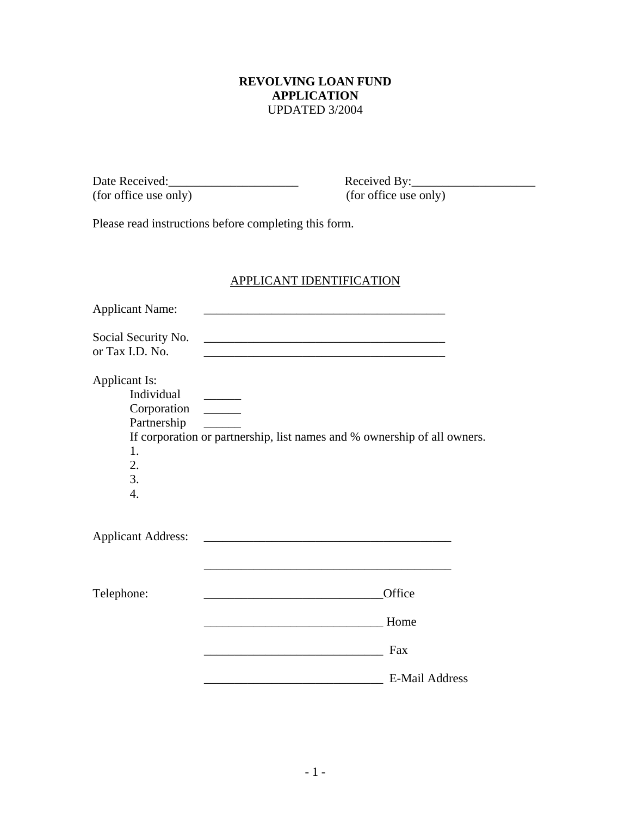#### **REVOLVING LOAN FUND APPLICATION**  UPDATED 3/2004

(for office use only) (for office use only)

Date Received:\_\_\_\_\_\_\_\_\_\_\_\_\_\_\_\_\_\_\_\_\_ Received By:\_\_\_\_\_\_\_\_\_\_\_\_\_\_\_\_\_\_\_\_

Please read instructions before completing this form.

## APPLICANT IDENTIFICATION

| <b>Applicant Name:</b>                                                           |                                                                                                                      |  |
|----------------------------------------------------------------------------------|----------------------------------------------------------------------------------------------------------------------|--|
| Social Security No.<br>or Tax I.D. No.                                           | <u> 2000 - Jan James James Barnett, amerikansk politik (d. 1982)</u>                                                 |  |
| Applicant Is:<br>Individual<br>Partnership<br>1.<br>2.<br>3.<br>$\overline{4}$ . | If corporation or partnership, list names and % ownership of all owners.                                             |  |
| <b>Applicant Address:</b>                                                        | <u> 1989 - Johann Barbara, marka a shekara tsa 1989 - An tsa 1989 - An tsa 1989 - An tsa 1989 - An tsa 1989 - An</u> |  |
| Telephone:                                                                       | Office                                                                                                               |  |
|                                                                                  | Home                                                                                                                 |  |
|                                                                                  | Fax<br><u> 1989 - Johann John Stein, fransk politik (</u>                                                            |  |
|                                                                                  | <b>E-Mail Address</b>                                                                                                |  |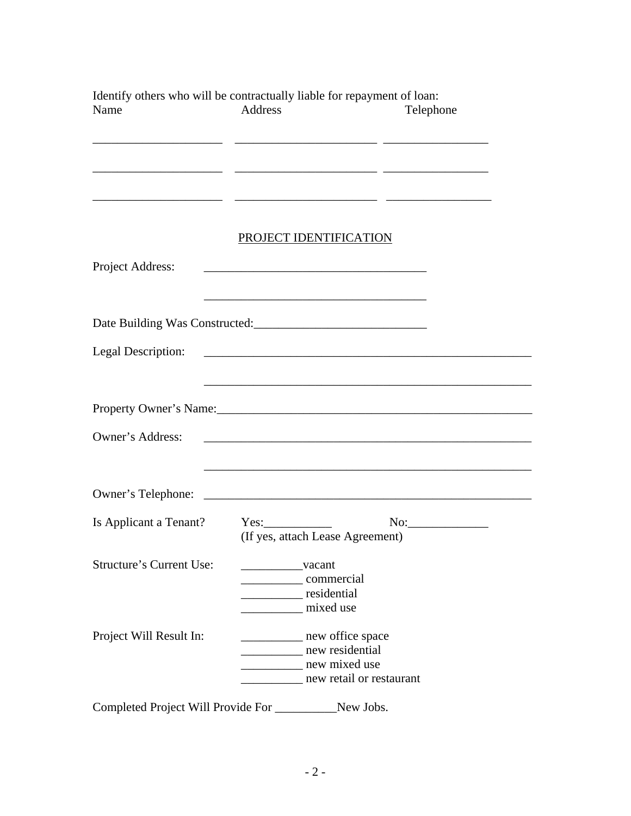| Identify others who will be contractually liable for repayment of loan:<br>Name | Address                                              | Telephone                                                                                                                                                                                                                              |
|---------------------------------------------------------------------------------|------------------------------------------------------|----------------------------------------------------------------------------------------------------------------------------------------------------------------------------------------------------------------------------------------|
|                                                                                 | PROJECT IDENTIFICATION                               |                                                                                                                                                                                                                                        |
| Project Address:                                                                |                                                      |                                                                                                                                                                                                                                        |
|                                                                                 |                                                      |                                                                                                                                                                                                                                        |
| Legal Description:                                                              |                                                      |                                                                                                                                                                                                                                        |
|                                                                                 |                                                      | Property Owner's Name:<br><u>International contract of the set of the set of the set of the set of the set of the set of the set of the set of the set of the set of the set of the set of the set of the set of the set of the se</u> |
| Owner's Address:                                                                |                                                      |                                                                                                                                                                                                                                        |
|                                                                                 |                                                      |                                                                                                                                                                                                                                        |
| Is Applicant a Tenant? Yes:                                                     | (If yes, attach Lease Agreement)                     | $No:\underline{\hspace{2.5cm}}$                                                                                                                                                                                                        |
| <b>Structure's Current Use:</b>                                                 | vacant<br>commercial<br>residential<br>mixed use     |                                                                                                                                                                                                                                        |
| Project Will Result In:                                                         | new office space<br>new residential<br>new mixed use | new retail or restaurant                                                                                                                                                                                                               |

Completed Project Will Provide For \_\_\_\_\_\_\_\_\_\_New Jobs.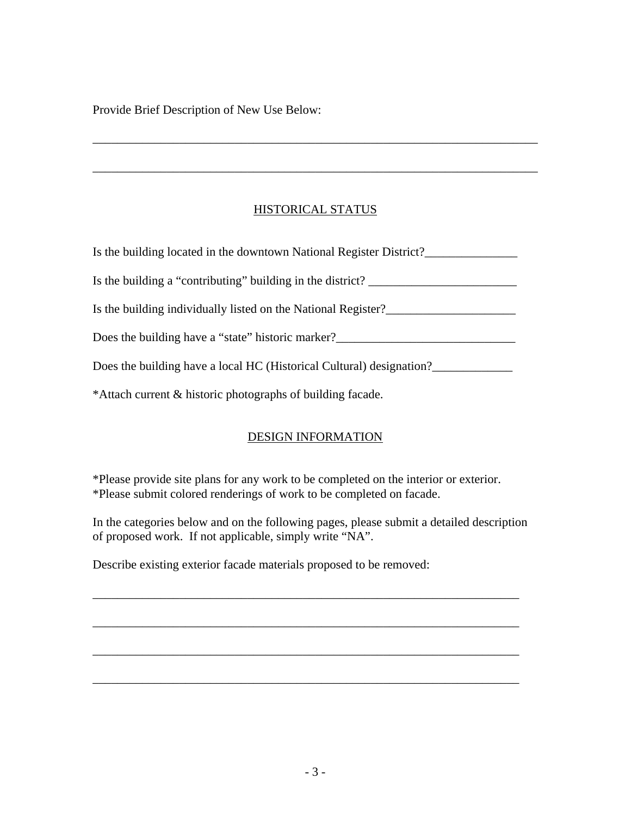Provide Brief Description of New Use Below:

## HISTORICAL STATUS

\_\_\_\_\_\_\_\_\_\_\_\_\_\_\_\_\_\_\_\_\_\_\_\_\_\_\_\_\_\_\_\_\_\_\_\_\_\_\_\_\_\_\_\_\_\_\_\_\_\_\_\_\_\_\_\_\_\_\_\_\_\_\_\_\_\_\_\_\_\_\_\_

\_\_\_\_\_\_\_\_\_\_\_\_\_\_\_\_\_\_\_\_\_\_\_\_\_\_\_\_\_\_\_\_\_\_\_\_\_\_\_\_\_\_\_\_\_\_\_\_\_\_\_\_\_\_\_\_\_\_\_\_\_\_\_\_\_\_\_\_\_\_\_\_

| Is the building located in the downtown National Register District?  |
|----------------------------------------------------------------------|
| Is the building a "contributing" building in the district?           |
| Is the building individually listed on the National Register?        |
| Does the building have a "state" historic marker?                    |
| Does the building have a local HC (Historical Cultural) designation? |
| *Attach current & historic photographs of building facade.           |

#### DESIGN INFORMATION

\*Please provide site plans for any work to be completed on the interior or exterior. \*Please submit colored renderings of work to be completed on facade.

In the categories below and on the following pages, please submit a detailed description of proposed work. If not applicable, simply write "NA".

\_\_\_\_\_\_\_\_\_\_\_\_\_\_\_\_\_\_\_\_\_\_\_\_\_\_\_\_\_\_\_\_\_\_\_\_\_\_\_\_\_\_\_\_\_\_\_\_\_\_\_\_\_\_\_\_\_\_\_\_\_\_\_\_\_\_\_\_\_

\_\_\_\_\_\_\_\_\_\_\_\_\_\_\_\_\_\_\_\_\_\_\_\_\_\_\_\_\_\_\_\_\_\_\_\_\_\_\_\_\_\_\_\_\_\_\_\_\_\_\_\_\_\_\_\_\_\_\_\_\_\_\_\_\_\_\_\_\_

\_\_\_\_\_\_\_\_\_\_\_\_\_\_\_\_\_\_\_\_\_\_\_\_\_\_\_\_\_\_\_\_\_\_\_\_\_\_\_\_\_\_\_\_\_\_\_\_\_\_\_\_\_\_\_\_\_\_\_\_\_\_\_\_\_\_\_\_\_

\_\_\_\_\_\_\_\_\_\_\_\_\_\_\_\_\_\_\_\_\_\_\_\_\_\_\_\_\_\_\_\_\_\_\_\_\_\_\_\_\_\_\_\_\_\_\_\_\_\_\_\_\_\_\_\_\_\_\_\_\_\_\_\_\_\_\_\_\_

Describe existing exterior facade materials proposed to be removed: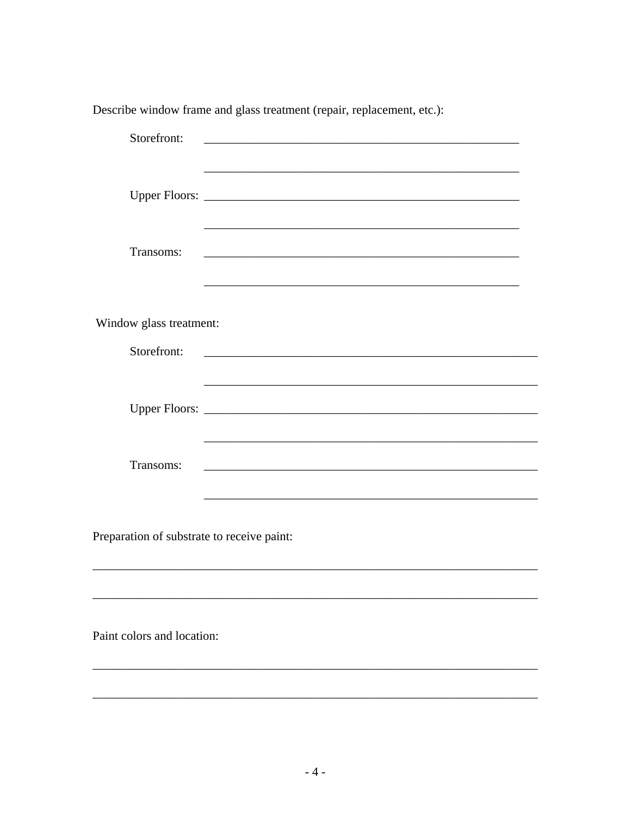| Storefront:                                | <u> 1980 - Johann Barbara, martin amerikan ba</u>                                                                     |
|--------------------------------------------|-----------------------------------------------------------------------------------------------------------------------|
|                                            | and the control of the control of the control of the control of the control of the control of the control of the      |
| Transoms:                                  |                                                                                                                       |
| Window glass treatment:                    |                                                                                                                       |
| Storefront:                                | <u> 1980 - Johann Barn, mars ann an t-Amhain an t-Amhain an t-Amhain an t-Amhain an t-Amhain an t-Amhain an t-Amh</u> |
|                                            |                                                                                                                       |
| Transoms:                                  | ,我们也不能在这里的时候,我们也不能在这里的时候,我们也不能会在这里的时候,我们也不能会在这里的时候,我们也不能会在这里的时候,我们也不能会在这里的时候,我们也不                                     |
| Preparation of substrate to receive paint: |                                                                                                                       |
|                                            |                                                                                                                       |
| Paint colors and location:                 |                                                                                                                       |
|                                            |                                                                                                                       |

Describe window frame and glass treatment (repair, replacement, etc.):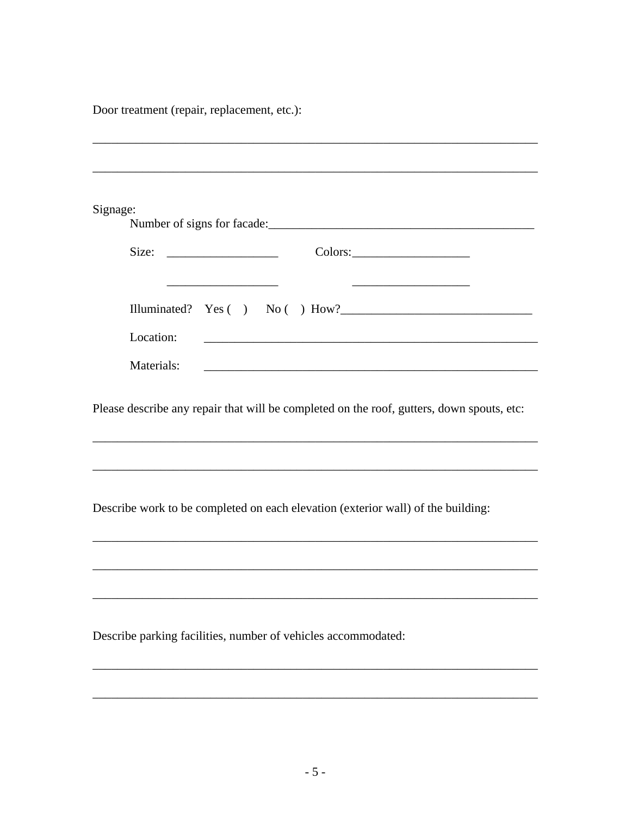Door treatment (repair, replacement, etc.):

| Signage:                                                                                                                                                                                     |
|----------------------------------------------------------------------------------------------------------------------------------------------------------------------------------------------|
| Size:                                                                                                                                                                                        |
| <u> 1989 - Johann Barn, mars ann an t-Amhair ann an t-A</u><br><u> 1989 - Johann John Stone, mars et al. 1989 - John Stone, mars et al. 1989 - John Stone, mars et al. 1989 - John Stone</u> |
| Illuminated? $Yes( ) No( ) How?$                                                                                                                                                             |
| Location:<br><u> 2000 - 2000 - 2000 - 2000 - 2000 - 2000 - 2000 - 2000 - 2000 - 2000 - 2000 - 2000 - 2000 - 2000 - 2000 - 200</u>                                                            |
| Materials:<br><u> 2008 - Johann Amerikaanse kommunister († 2008)</u>                                                                                                                         |
| Please describe any repair that will be completed on the roof, gutters, down spouts, etc:                                                                                                    |
|                                                                                                                                                                                              |
| Describe work to be completed on each elevation (exterior wall) of the building:                                                                                                             |
|                                                                                                                                                                                              |
|                                                                                                                                                                                              |
| Describe parking facilities, number of vehicles accommodated:                                                                                                                                |
|                                                                                                                                                                                              |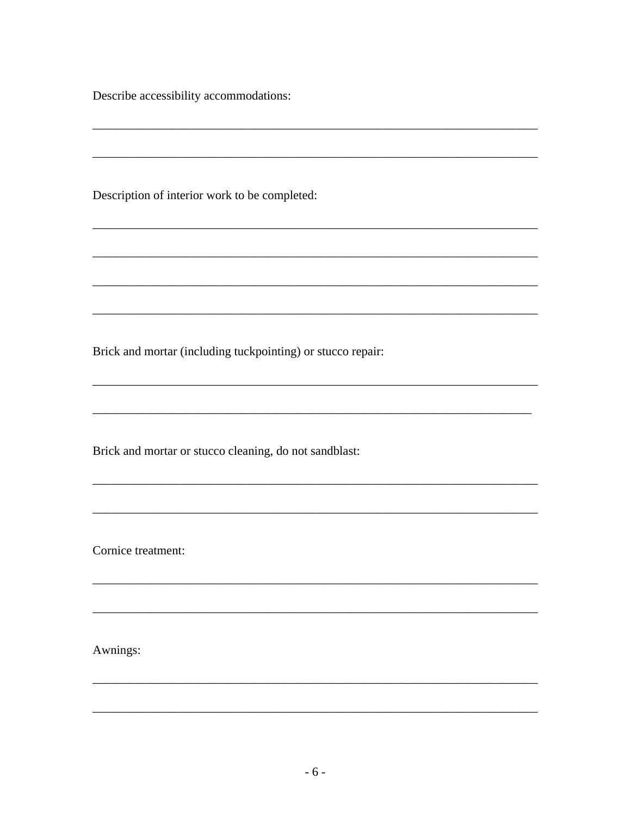Describe accessibility accommodations:

Description of interior work to be completed:

Brick and mortar (including tuckpointing) or stucco repair:

Brick and mortar or stucco cleaning, do not sandblast:

Cornice treatment:

Awnings: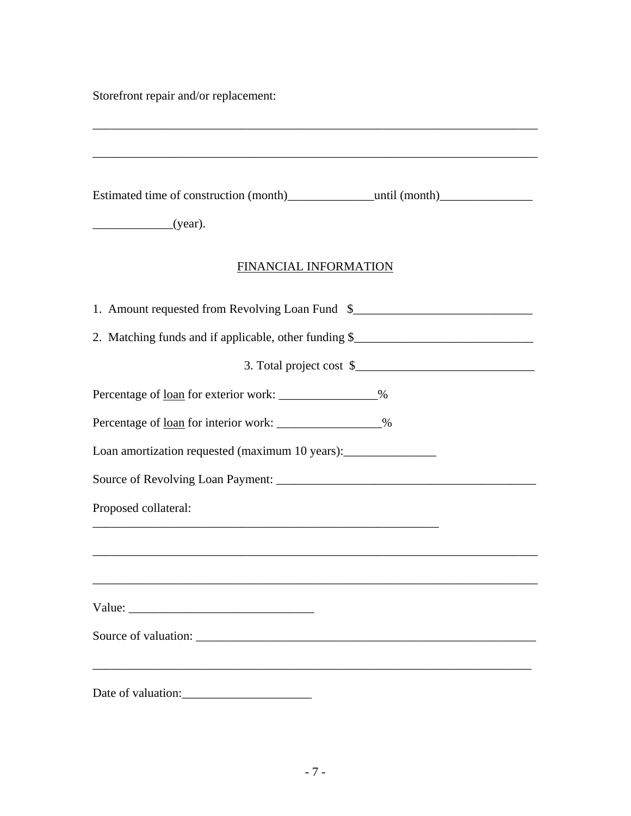Storefront repair and/or replacement:

| Estimated time of construction (month) ___________________until (month) ____________________________<br>(year). |  |
|-----------------------------------------------------------------------------------------------------------------|--|
| FINANCIAL INFORMATION                                                                                           |  |
| 1. Amount requested from Revolving Loan Fund \$                                                                 |  |
| 2. Matching funds and if applicable, other funding \$                                                           |  |
| 3. Total project cost \$                                                                                        |  |
| Percentage of <u>loan</u> for exterior work: ________________%                                                  |  |
| Percentage of <u>loan</u> for interior work: ________________%                                                  |  |
| Loan amortization requested (maximum 10 years): _________________________________                               |  |
|                                                                                                                 |  |
| Proposed collateral:                                                                                            |  |
|                                                                                                                 |  |
|                                                                                                                 |  |
|                                                                                                                 |  |
|                                                                                                                 |  |
|                                                                                                                 |  |
|                                                                                                                 |  |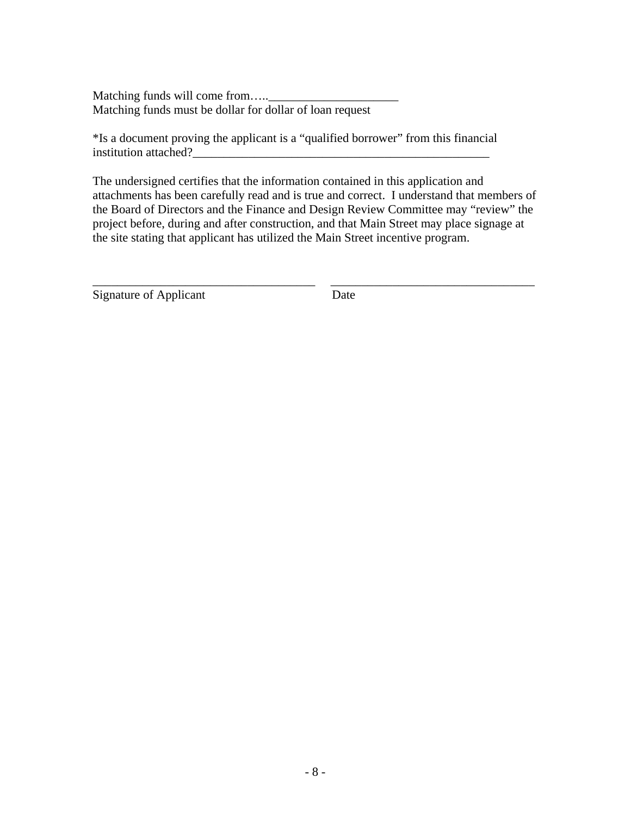Matching funds will come from…..\_\_\_\_\_\_\_\_\_\_\_\_\_\_\_\_\_\_\_\_\_ Matching funds must be dollar for dollar of loan request

\*Is a document proving the applicant is a "qualified borrower" from this financial institution attached?\_\_\_\_\_\_\_\_\_\_\_\_\_\_\_\_\_\_\_\_\_\_\_\_\_\_\_\_\_\_\_\_\_\_\_\_\_\_\_\_\_\_\_\_\_\_\_\_

The undersigned certifies that the information contained in this application and attachments has been carefully read and is true and correct. I understand that members of the Board of Directors and the Finance and Design Review Committee may "review" the project before, during and after construction, and that Main Street may place signage at the site stating that applicant has utilized the Main Street incentive program.

\_\_\_\_\_\_\_\_\_\_\_\_\_\_\_\_\_\_\_\_\_\_\_\_\_\_\_\_\_\_\_\_\_\_\_\_ \_\_\_\_\_\_\_\_\_\_\_\_\_\_\_\_\_\_\_\_\_\_\_\_\_\_\_\_\_\_\_\_\_

Signature of Applicant Date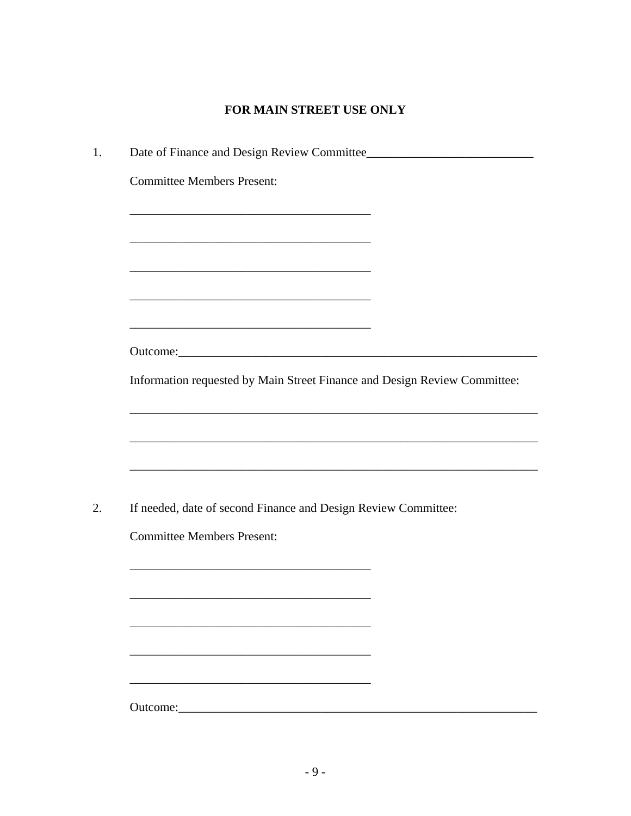# FOR MAIN STREET USE ONLY

| <b>Committee Members Present:</b>                                         |
|---------------------------------------------------------------------------|
| <u> 1989 - Johann Barbara, margaret eta idazlearia (h. 1989).</u>         |
|                                                                           |
| <u> 1989 - Johann Barbara, margaret eta idazlea (h. 1989).</u>            |
|                                                                           |
|                                                                           |
| Outcome: <u>contract and a series</u>                                     |
| Information requested by Main Street Finance and Design Review Committee: |
|                                                                           |
|                                                                           |
|                                                                           |
|                                                                           |
| If needed, date of second Finance and Design Review Committee:            |
| <b>Committee Members Present:</b>                                         |
|                                                                           |
|                                                                           |
|                                                                           |
|                                                                           |
|                                                                           |
| Outcome:                                                                  |